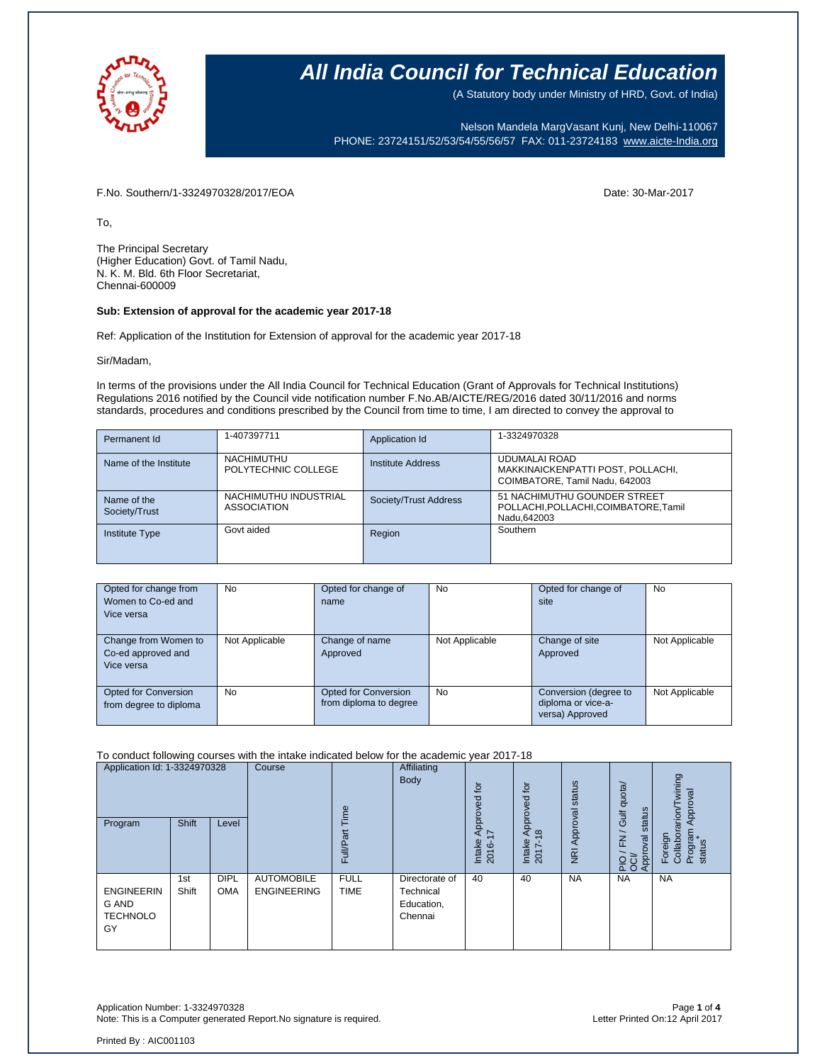

(A Statutory body under Ministry of HRD, Govt. of India)

Nelson Mandela MargVasant Kunj, New Delhi-110067 PHONE: 23724151/52/53/54/55/56/57 FAX: 011-23724183 [www.aicte-India.org](http://www.aicte-india.org/)

F.No. Southern/1-3324970328/2017/EOA Date: 30-Mar-2017

To,

The Principal Secretary (Higher Education) Govt. of Tamil Nadu, N. K. M. Bld. 6th Floor Secretariat, Chennai-600009

### **Sub: Extension of approval for the academic year 2017-18**

Ref: Application of the Institution for Extension of approval for the academic year 2017-18

Sir/Madam,

In terms of the provisions under the All India Council for Technical Education (Grant of Approvals for Technical Institutions) Regulations 2016 notified by the Council vide notification number F.No.AB/AICTE/REG/2016 dated 30/11/2016 and norms standards, procedures and conditions prescribed by the Council from time to time, I am directed to convey the approval to

| Permanent Id                 | 1-407397711                                 | Application Id        | 1-3324970328                                                                          |
|------------------------------|---------------------------------------------|-----------------------|---------------------------------------------------------------------------------------|
| Name of the Institute        | NACHIMUTHU<br>POLYTECHNIC COLLEGE           | Institute Address     | UDUMALAI ROAD<br>MAKKINAICKENPATTI POST, POLLACHI,<br>COIMBATORE, Tamil Nadu, 642003  |
| Name of the<br>Society/Trust | NACHIMUTHU INDUSTRIAL<br><b>ASSOCIATION</b> | Society/Trust Address | 51 NACHIMUTHU GOUNDER STREET<br>POLLACHI, POLLACHI, COIMBATORE, Tamil<br>Nadu, 642003 |
| <b>Institute Type</b>        | Govt aided                                  | Region                | Southern                                                                              |

| Opted for change from<br>Women to Co-ed and<br>Vice versa | No             | Opted for change of<br>name                           | <b>No</b>      | Opted for change of<br>site                                    | <b>No</b>      |
|-----------------------------------------------------------|----------------|-------------------------------------------------------|----------------|----------------------------------------------------------------|----------------|
| Change from Women to<br>Co-ed approved and<br>Vice versa  | Not Applicable | Change of name<br>Approved                            | Not Applicable | Change of site<br>Approved                                     | Not Applicable |
| Opted for Conversion<br>from degree to diploma            | No             | <b>Opted for Conversion</b><br>from diploma to degree | <b>No</b>      | Conversion (degree to<br>diploma or vice-a-<br>versa) Approved | Not Applicable |

#### To conduct following courses with the intake indicated below for the academic year 2017-18

| Application Id: 1-3324970328<br>Program             | <b>Shift</b> | Level                     | Course                                  | lme<br>$\overline{a}$<br>≣<br>ш | Affiliating<br><b>Body</b>                           | $\overline{p}$<br>್ಲಾ<br>Apr<br>7<br>Intake<br>2016-' | .pt<br>공<br>$\delta$<br>$\frac{1}{2}$<br>$\infty$<br>Intake<br>2017- | status<br>Approval<br>$\overline{g}$ | Gulf quota/<br>status<br>$\geq$<br>PIO / FN<br>OCI/<br>Approval | wining<br>Approval<br>arion/<br>Foreign<br>Collabor<br>Program<br>status |
|-----------------------------------------------------|--------------|---------------------------|-----------------------------------------|---------------------------------|------------------------------------------------------|-------------------------------------------------------|----------------------------------------------------------------------|--------------------------------------|-----------------------------------------------------------------|--------------------------------------------------------------------------|
| <b>ENGINEERIN</b><br>G AND<br><b>TECHNOLO</b><br>GY | 1st<br>Shift | <b>DIPL</b><br><b>OMA</b> | <b>AUTOMOBILE</b><br><b>ENGINEERING</b> | <b>FULL</b><br><b>TIME</b>      | Directorate of<br>Technical<br>Education,<br>Chennai | 40                                                    | 40                                                                   | <b>NA</b>                            | <b>NA</b>                                                       | <b>NA</b>                                                                |

Application Number: 1-3324970328 Page **1** of **4** Note: This is a Computer generated Report. No signature is required.

Printed By : AIC001103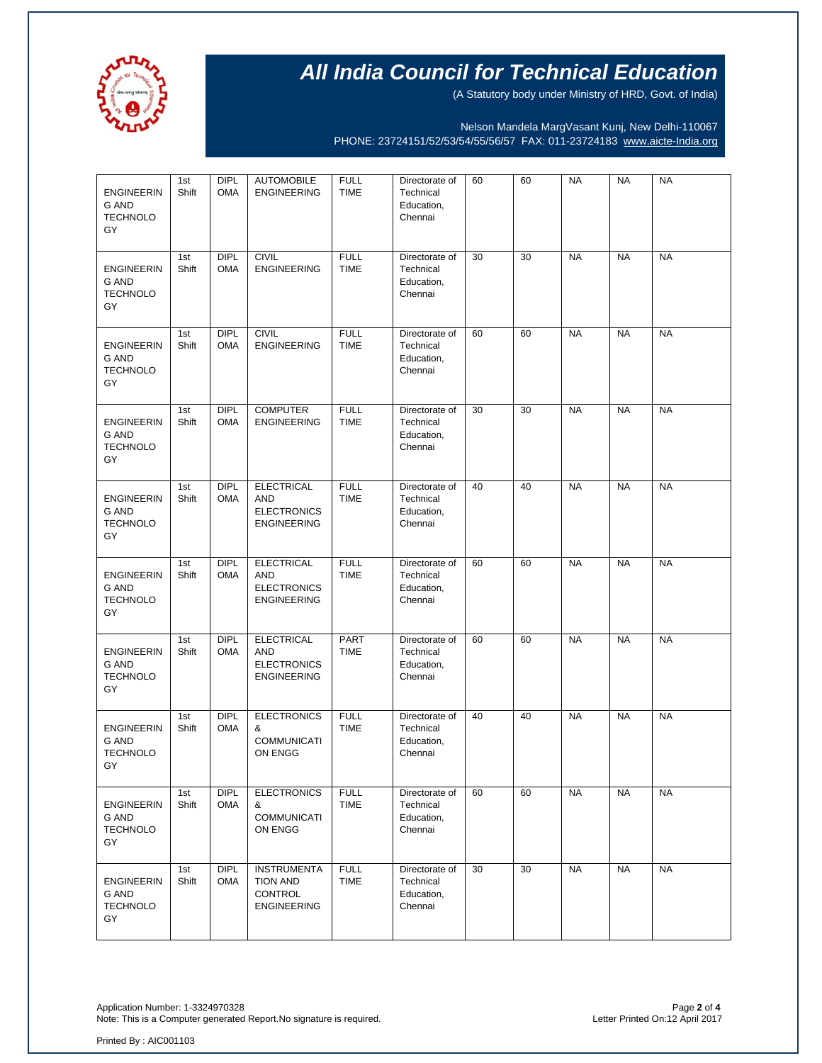

(A Statutory body under Ministry of HRD, Govt. of India)

Nelson Mandela MargVasant Kunj, New Delhi-110067 PHONE: 23724151/52/53/54/55/56/57 FAX: 011-23724183 [www.aicte-India.org](http://www.aicte-india.org/)

| <b>ENGINEERIN</b><br>G AND<br><b>TECHNOLO</b><br>GY        | 1st<br>Shift | DIPL<br><b>OMA</b>        | <b>AUTOMOBILE</b><br><b>ENGINEERING</b>                                     | <b>FULL</b><br><b>TIME</b> | Directorate of<br>Technical<br>Education,<br>Chennai | 60 | 60 | <b>NA</b> | <b>NA</b> | <b>NA</b> |
|------------------------------------------------------------|--------------|---------------------------|-----------------------------------------------------------------------------|----------------------------|------------------------------------------------------|----|----|-----------|-----------|-----------|
| <b>ENGINEERIN</b><br><b>G AND</b><br><b>TECHNOLO</b><br>GY | 1st<br>Shift | <b>DIPL</b><br><b>OMA</b> | <b>CIVIL</b><br><b>ENGINEERING</b>                                          | <b>FULL</b><br><b>TIME</b> | Directorate of<br>Technical<br>Education,<br>Chennai | 30 | 30 | <b>NA</b> | <b>NA</b> | <b>NA</b> |
| <b>ENGINEERIN</b><br>G AND<br><b>TECHNOLO</b><br>GY        | 1st<br>Shift | <b>DIPL</b><br><b>OMA</b> | <b>CIVIL</b><br><b>ENGINEERING</b>                                          | <b>FULL</b><br><b>TIME</b> | Directorate of<br>Technical<br>Education,<br>Chennai | 60 | 60 | <b>NA</b> | <b>NA</b> | <b>NA</b> |
| <b>ENGINEERIN</b><br>G AND<br><b>TECHNOLO</b><br>GY        | 1st<br>Shift | <b>DIPL</b><br><b>OMA</b> | <b>COMPUTER</b><br><b>ENGINEERING</b>                                       | <b>FULL</b><br><b>TIME</b> | Directorate of<br>Technical<br>Education,<br>Chennai | 30 | 30 | <b>NA</b> | <b>NA</b> | <b>NA</b> |
| <b>ENGINEERIN</b><br><b>G AND</b><br><b>TECHNOLO</b><br>GY | 1st<br>Shift | <b>DIPL</b><br><b>OMA</b> | <b>ELECTRICAL</b><br><b>AND</b><br><b>ELECTRONICS</b><br><b>ENGINEERING</b> | <b>FULL</b><br><b>TIME</b> | Directorate of<br>Technical<br>Education,<br>Chennai | 40 | 40 | <b>NA</b> | <b>NA</b> | <b>NA</b> |
| <b>ENGINEERIN</b><br><b>G AND</b><br><b>TECHNOLO</b><br>GY | 1st<br>Shift | <b>DIPL</b><br><b>OMA</b> | <b>ELECTRICAL</b><br><b>AND</b><br><b>ELECTRONICS</b><br><b>ENGINEERING</b> | <b>FULL</b><br><b>TIME</b> | Directorate of<br>Technical<br>Education,<br>Chennai | 60 | 60 | <b>NA</b> | <b>NA</b> | <b>NA</b> |
| <b>ENGINEERIN</b><br><b>G AND</b><br><b>TECHNOLO</b><br>GY | 1st<br>Shift | <b>DIPL</b><br><b>OMA</b> | <b>ELECTRICAL</b><br><b>AND</b><br><b>ELECTRONICS</b><br><b>ENGINEERING</b> | PART<br><b>TIME</b>        | Directorate of<br>Technical<br>Education,<br>Chennai | 60 | 60 | <b>NA</b> | <b>NA</b> | <b>NA</b> |
| <b>ENGINEERIN</b><br><b>G AND</b><br><b>TECHNOLO</b><br>GY | 1st<br>Shift | <b>DIPL</b><br><b>OMA</b> | <b>ELECTRONICS</b><br>&<br><b>COMMUNICATI</b><br>ON ENGG                    | <b>FULL</b><br><b>TIME</b> | Directorate of<br>Technical<br>Education,<br>Chennai | 40 | 40 | <b>NA</b> | <b>NA</b> | <b>NA</b> |
| <b>ENGINEERIN</b><br>G AND<br><b>TECHNOLO</b><br>GY        | 1st<br>Shift | <b>DIPL</b><br><b>OMA</b> | <b>ELECTRONICS</b><br>&<br><b>COMMUNICATI</b><br>ON ENGG                    | <b>FULL</b><br><b>TIME</b> | Directorate of<br>Technical<br>Education,<br>Chennai | 60 | 60 | <b>NA</b> | <b>NA</b> | <b>NA</b> |
| <b>ENGINEERIN</b><br>G AND<br><b>TECHNOLO</b><br>GY        | 1st<br>Shift | <b>DIPL</b><br><b>OMA</b> | <b>INSTRUMENTA</b><br>TION AND<br><b>CONTROL</b><br><b>ENGINEERING</b>      | <b>FULL</b><br><b>TIME</b> | Directorate of<br>Technical<br>Education,<br>Chennai | 30 | 30 | <b>NA</b> | <b>NA</b> | <b>NA</b> |

Application Number: 1-3324970328 Page **2** of **4** Note: This is a Computer generated Report. No signature is required.

Printed By : AIC001103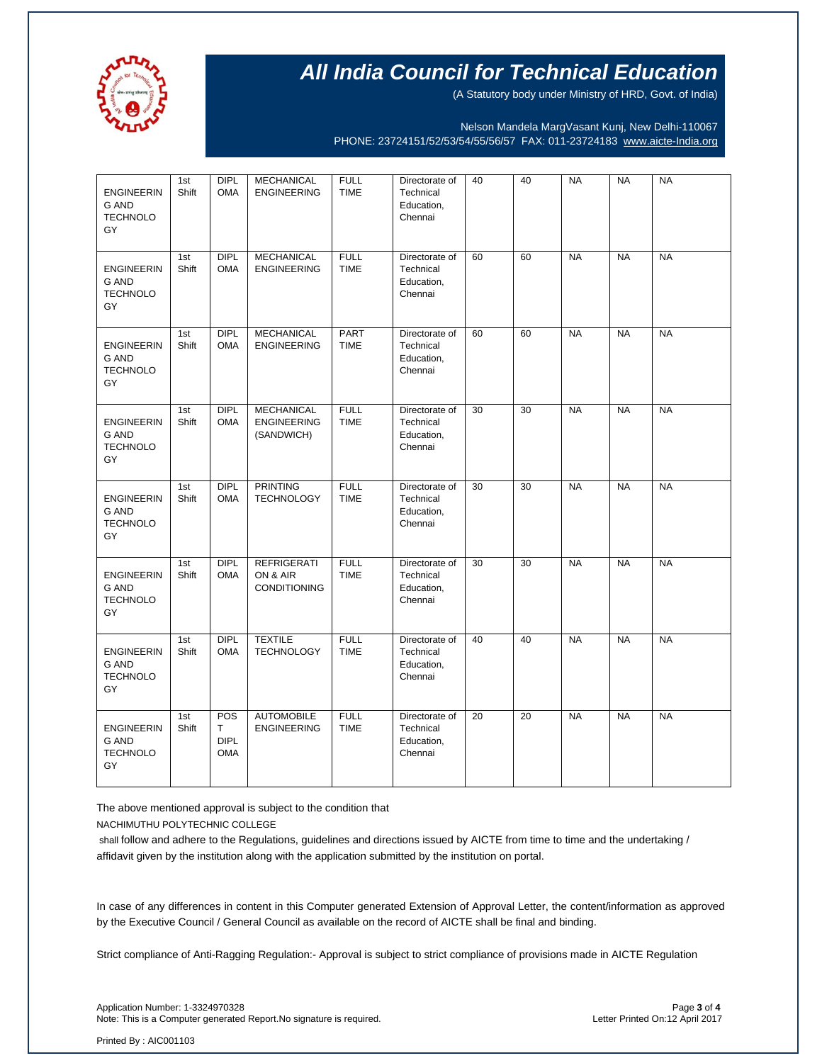

(A Statutory body under Ministry of HRD, Govt. of India)

Nelson Mandela MargVasant Kunj, New Delhi-110067 PHONE: 23724151/52/53/54/55/56/57 FAX: 011-23724183 [www.aicte-India.org](http://www.aicte-india.org/)

| <b>ENGINEERIN</b><br>G AND<br><b>TECHNOLO</b><br>GY        | 1st<br>Shift | <b>DIPL</b><br><b>OMA</b>             | <b>MECHANICAL</b><br><b>ENGINEERING</b>               | <b>FULL</b><br><b>TIME</b> | Directorate of<br>Technical<br>Education,<br>Chennai | 40 | 40              | <b>NA</b> | <b>NA</b> | <b>NA</b> |
|------------------------------------------------------------|--------------|---------------------------------------|-------------------------------------------------------|----------------------------|------------------------------------------------------|----|-----------------|-----------|-----------|-----------|
| <b>ENGINEERIN</b><br>G AND<br><b>TECHNOLO</b><br>GY        | 1st<br>Shift | DIPL<br><b>OMA</b>                    | <b>MECHANICAL</b><br><b>ENGINEERING</b>               | <b>FULL</b><br><b>TIME</b> | Directorate of<br>Technical<br>Education,<br>Chennai | 60 | 60              | <b>NA</b> | <b>NA</b> | <b>NA</b> |
| <b>ENGINEERIN</b><br><b>G AND</b><br><b>TECHNOLO</b><br>GY | 1st<br>Shift | <b>DIPL</b><br><b>OMA</b>             | <b>MECHANICAL</b><br><b>ENGINEERING</b>               | PART<br><b>TIME</b>        | Directorate of<br>Technical<br>Education,<br>Chennai | 60 | 60              | <b>NA</b> | <b>NA</b> | <b>NA</b> |
| <b>ENGINEERIN</b><br><b>G AND</b><br><b>TECHNOLO</b><br>GY | 1st<br>Shift | DIPL<br><b>OMA</b>                    | <b>MECHANICAL</b><br><b>ENGINEERING</b><br>(SANDWICH) | <b>FULL</b><br><b>TIME</b> | Directorate of<br>Technical<br>Education,<br>Chennai | 30 | 30              | <b>NA</b> | <b>NA</b> | <b>NA</b> |
| <b>ENGINEERIN</b><br><b>G AND</b><br><b>TECHNOLO</b><br>GY | 1st<br>Shift | DIPL<br><b>OMA</b>                    | <b>PRINTING</b><br><b>TECHNOLOGY</b>                  | <b>FULL</b><br><b>TIME</b> | Directorate of<br>Technical<br>Education,<br>Chennai | 30 | 30              | <b>NA</b> | <b>NA</b> | <b>NA</b> |
| <b>ENGINEERIN</b><br>G AND<br><b>TECHNOLO</b><br>GY        | 1st<br>Shift | DIPL<br><b>OMA</b>                    | <b>REFRIGERATI</b><br>ON & AIR<br><b>CONDITIONING</b> | <b>FULL</b><br><b>TIME</b> | Directorate of<br>Technical<br>Education,<br>Chennai | 30 | $\overline{30}$ | <b>NA</b> | <b>NA</b> | <b>NA</b> |
| <b>ENGINEERIN</b><br>G AND<br><b>TECHNOLO</b><br>GY        | 1st<br>Shift | <b>DIPL</b><br><b>OMA</b>             | <b>TEXTILE</b><br><b>TECHNOLOGY</b>                   | <b>FULL</b><br><b>TIME</b> | Directorate of<br>Technical<br>Education,<br>Chennai | 40 | 40              | <b>NA</b> | <b>NA</b> | <b>NA</b> |
| <b>ENGINEERIN</b><br><b>G AND</b><br><b>TECHNOLO</b><br>GY | 1st<br>Shift | POS<br>Τ<br><b>DIPL</b><br><b>OMA</b> | <b>AUTOMOBILE</b><br><b>ENGINEERING</b>               | <b>FULL</b><br><b>TIME</b> | Directorate of<br>Technical<br>Education,<br>Chennai | 20 | 20              | <b>NA</b> | <b>NA</b> | <b>NA</b> |

The above mentioned approval is subject to the condition that

NACHIMUTHU POLYTECHNIC COLLEGE

shall follow and adhere to the Regulations, guidelines and directions issued by AICTE from time to time and the undertaking / affidavit given by the institution along with the application submitted by the institution on portal.

In case of any differences in content in this Computer generated Extension of Approval Letter, the content/information as approved by the Executive Council / General Council as available on the record of AICTE shall be final and binding.

Strict compliance of Anti-Ragging Regulation:- Approval is subject to strict compliance of provisions made in AICTE Regulation